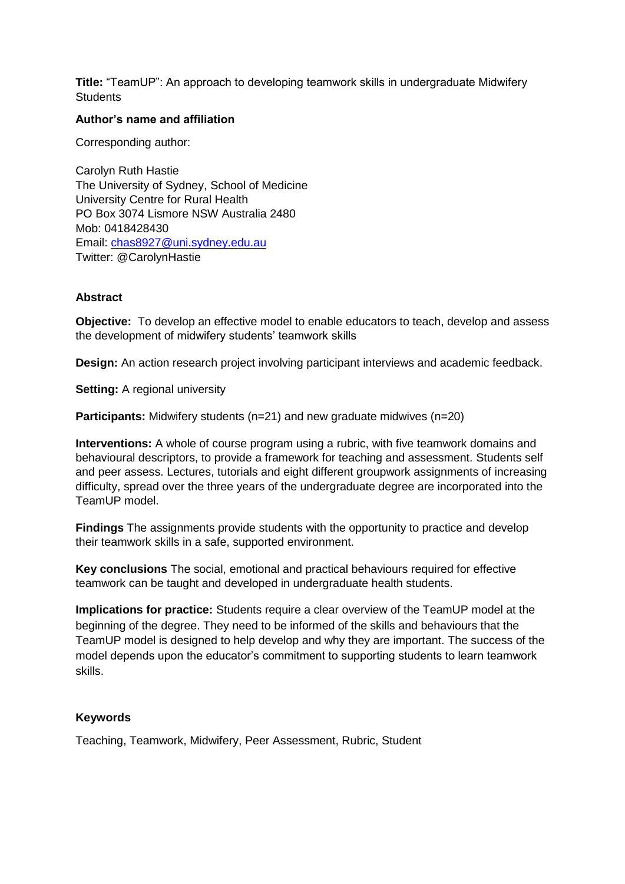**Title:** "TeamUP": An approach to developing teamwork skills in undergraduate Midwifery **Students** 

#### **Author's name and affiliation**

Corresponding author:

Carolyn Ruth Hastie The University of Sydney, School of Medicine University Centre for Rural Health PO Box 3074 Lismore NSW Australia 2480 Mob: 0418428430 Email: [chas8927@uni.sydney.edu.au](mailto:chas8927@uni.sydney.edu.au) Twitter: @CarolynHastie

#### **Abstract**

**Objective:** To develop an effective model to enable educators to teach, develop and assess the development of midwifery students' teamwork skills

**Design:** An action research project involving participant interviews and academic feedback.

**Setting:** A regional university

**Participants:** Midwifery students (n=21) and new graduate midwives (n=20)

**Interventions:** A whole of course program using a rubric, with five teamwork domains and behavioural descriptors, to provide a framework for teaching and assessment. Students self and peer assess. Lectures, tutorials and eight different groupwork assignments of increasing difficulty, spread over the three years of the undergraduate degree are incorporated into the TeamUP model.

**Findings** The assignments provide students with the opportunity to practice and develop their teamwork skills in a safe, supported environment.

**Key conclusions** The social, emotional and practical behaviours required for effective teamwork can be taught and developed in undergraduate health students.

**Implications for practice:** Students require a clear overview of the TeamUP model at the beginning of the degree. They need to be informed of the skills and behaviours that the TeamUP model is designed to help develop and why they are important. The success of the model depends upon the educator's commitment to supporting students to learn teamwork skills.

#### **Keywords**

Teaching, Teamwork, Midwifery, Peer Assessment, Rubric, Student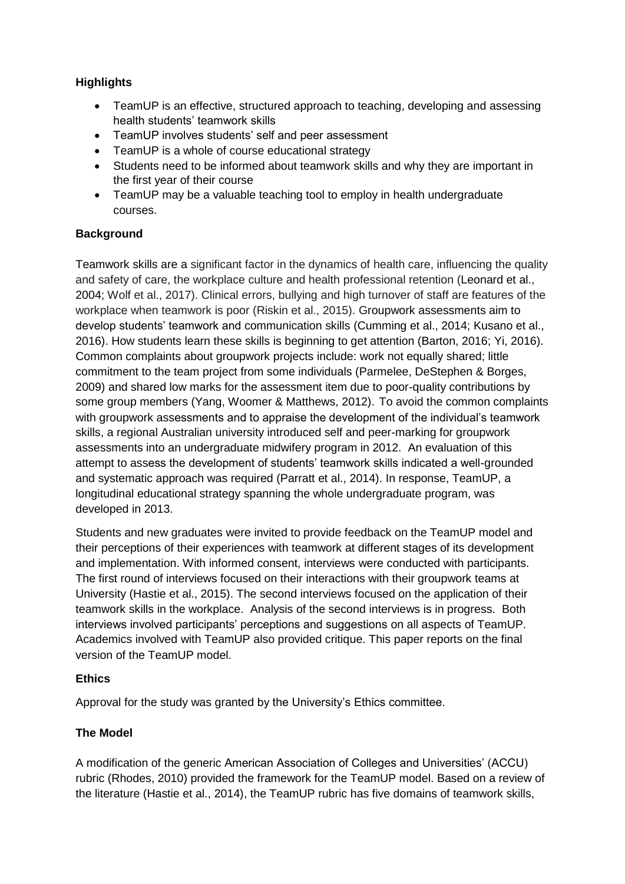# **Highlights**

- TeamUP is an effective, structured approach to teaching, developing and assessing health students' teamwork skills
- TeamUP involves students' self and peer assessment
- TeamUP is a whole of course educational strategy
- Students need to be informed about teamwork skills and why they are important in the first year of their course
- TeamUP may be a valuable teaching tool to employ in health undergraduate courses.

# **Background**

Teamwork skills are a significant factor in the dynamics of health care, influencing the quality and safety of care, the workplace culture and health professional retention (Leonard et al., 2004; Wolf et al., 2017). Clinical errors, bullying and high turnover of staff are features of the workplace when teamwork is poor (Riskin et al., 2015). Groupwork assessments aim to develop students' teamwork and communication skills (Cumming et al., 2014; Kusano et al., 2016). How students learn these skills is beginning to get attention (Barton, 2016; Yi, 2016). Common complaints about groupwork projects include: work not equally shared; little commitment to the team project from some individuals (Parmelee, DeStephen & Borges, 2009) and shared low marks for the assessment item due to poor-quality contributions by some group members (Yang, Woomer & Matthews, 2012). To avoid the common complaints with groupwork assessments and to appraise the development of the individual's teamwork skills, a regional Australian university introduced self and peer-marking for groupwork assessments into an undergraduate midwifery program in 2012. An evaluation of this attempt to assess the development of students' teamwork skills indicated a well-grounded and systematic approach was required (Parratt et al., 2014). In response, TeamUP, a longitudinal educational strategy spanning the whole undergraduate program, was developed in 2013.

Students and new graduates were invited to provide feedback on the TeamUP model and their perceptions of their experiences with teamwork at different stages of its development and implementation. With informed consent, interviews were conducted with participants. The first round of interviews focused on their interactions with their groupwork teams at University (Hastie et al., 2015). The second interviews focused on the application of their teamwork skills in the workplace. Analysis of the second interviews is in progress. Both interviews involved participants' perceptions and suggestions on all aspects of TeamUP. Academics involved with TeamUP also provided critique. This paper reports on the final version of the TeamUP model.

## **Ethics**

Approval for the study was granted by the University's Ethics committee.

# **The Model**

A modification of the generic American Association of Colleges and Universities' (ACCU) rubric (Rhodes, 2010) provided the framework for the TeamUP model. Based on a review of the literature (Hastie et al., 2014), the TeamUP rubric has five domains of teamwork skills,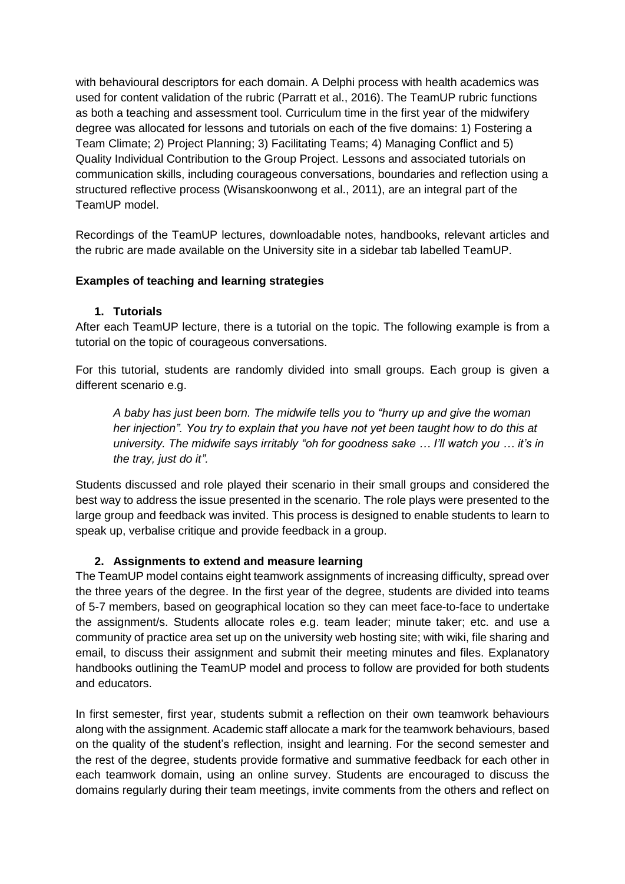with behavioural descriptors for each domain. A Delphi process with health academics was used for content validation of the rubric (Parratt et al., 2016). The TeamUP rubric functions as both a teaching and assessment tool. Curriculum time in the first year of the midwifery degree was allocated for lessons and tutorials on each of the five domains: 1) Fostering a Team Climate; 2) Project Planning; 3) Facilitating Teams; 4) Managing Conflict and 5) Quality Individual Contribution to the Group Project. Lessons and associated tutorials on communication skills, including courageous conversations, boundaries and reflection using a structured reflective process (Wisanskoonwong et al., 2011), are an integral part of the TeamUP model.

Recordings of the TeamUP lectures, downloadable notes, handbooks, relevant articles and the rubric are made available on the University site in a sidebar tab labelled TeamUP.

## **Examples of teaching and learning strategies**

#### **1. Tutorials**

After each TeamUP lecture, there is a tutorial on the topic. The following example is from a tutorial on the topic of courageous conversations.

For this tutorial, students are randomly divided into small groups. Each group is given a different scenario e.g.

*A baby has just been born. The midwife tells you to "hurry up and give the woman her injection". You try to explain that you have not yet been taught how to do this at university. The midwife says irritably "oh for goodness sake … I'll watch you … it's in the tray, just do it".*

Students discussed and role played their scenario in their small groups and considered the best way to address the issue presented in the scenario. The role plays were presented to the large group and feedback was invited. This process is designed to enable students to learn to speak up, verbalise critique and provide feedback in a group.

#### **2. Assignments to extend and measure learning**

The TeamUP model contains eight teamwork assignments of increasing difficulty, spread over the three years of the degree. In the first year of the degree, students are divided into teams of 5-7 members, based on geographical location so they can meet face-to-face to undertake the assignment/s. Students allocate roles e.g. team leader; minute taker; etc. and use a community of practice area set up on the university web hosting site; with wiki, file sharing and email, to discuss their assignment and submit their meeting minutes and files. Explanatory handbooks outlining the TeamUP model and process to follow are provided for both students and educators.

In first semester, first year, students submit a reflection on their own teamwork behaviours along with the assignment. Academic staff allocate a mark for the teamwork behaviours, based on the quality of the student's reflection, insight and learning. For the second semester and the rest of the degree, students provide formative and summative feedback for each other in each teamwork domain, using an online survey. Students are encouraged to discuss the domains regularly during their team meetings, invite comments from the others and reflect on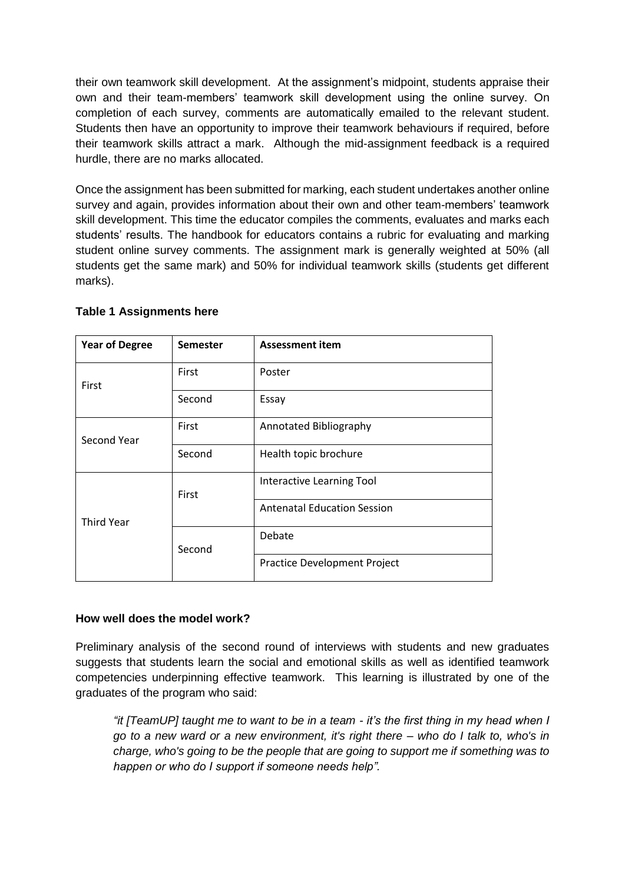their own teamwork skill development. At the assignment's midpoint, students appraise their own and their team-members' teamwork skill development using the online survey. On completion of each survey, comments are automatically emailed to the relevant student. Students then have an opportunity to improve their teamwork behaviours if required, before their teamwork skills attract a mark. Although the mid-assignment feedback is a required hurdle, there are no marks allocated.

Once the assignment has been submitted for marking, each student undertakes another online survey and again, provides information about their own and other team-members' teamwork skill development. This time the educator compiles the comments, evaluates and marks each students' results. The handbook for educators contains a rubric for evaluating and marking student online survey comments. The assignment mark is generally weighted at 50% (all students get the same mark) and 50% for individual teamwork skills (students get different marks).

| <b>Year of Degree</b> | <b>Semester</b> | <b>Assessment item</b>             |
|-----------------------|-----------------|------------------------------------|
| First                 | First           | Poster                             |
|                       | Second          | Essay                              |
| Second Year           | First           | Annotated Bibliography             |
|                       | Second          | Health topic brochure              |
| <b>Third Year</b>     | First           | Interactive Learning Tool          |
|                       |                 | <b>Antenatal Education Session</b> |
|                       | Second          | Debate                             |
|                       |                 | Practice Development Project       |

#### **Table 1 Assignments here**

#### **How well does the model work?**

Preliminary analysis of the second round of interviews with students and new graduates suggests that students learn the social and emotional skills as well as identified teamwork competencies underpinning effective teamwork. This learning is illustrated by one of the graduates of the program who said:

*"it [TeamUP] taught me to want to be in a team - it's the first thing in my head when I go to a new ward or a new environment, it's right there – who do I talk to, who's in charge, who's going to be the people that are going to support me if something was to happen or who do I support if someone needs help".*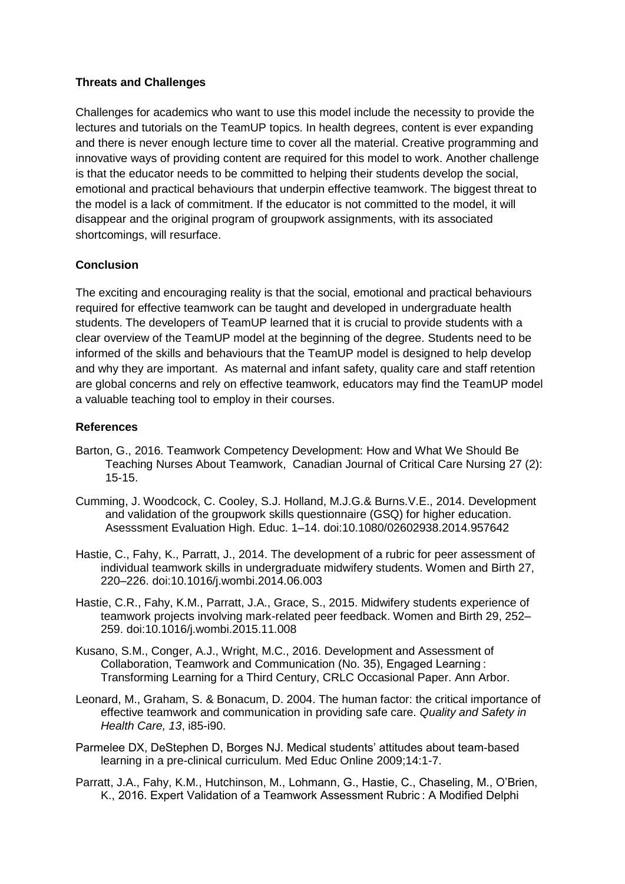#### **Threats and Challenges**

Challenges for academics who want to use this model include the necessity to provide the lectures and tutorials on the TeamUP topics. In health degrees, content is ever expanding and there is never enough lecture time to cover all the material. Creative programming and innovative ways of providing content are required for this model to work. Another challenge is that the educator needs to be committed to helping their students develop the social, emotional and practical behaviours that underpin effective teamwork. The biggest threat to the model is a lack of commitment. If the educator is not committed to the model, it will disappear and the original program of groupwork assignments, with its associated shortcomings, will resurface.

## **Conclusion**

The exciting and encouraging reality is that the social, emotional and practical behaviours required for effective teamwork can be taught and developed in undergraduate health students. The developers of TeamUP learned that it is crucial to provide students with a clear overview of the TeamUP model at the beginning of the degree. Students need to be informed of the skills and behaviours that the TeamUP model is designed to help develop and why they are important. As maternal and infant safety, quality care and staff retention are global concerns and rely on effective teamwork, educators may find the TeamUP model a valuable teaching tool to employ in their courses.

## **References**

- Barton, G., 2016. Teamwork Competency Development: How and What We Should Be Teaching Nurses About Teamwork, Canadian Journal of Critical Care Nursing 27 (2): 15-15.
- Cumming, J. Woodcock, C. Cooley, S.J. Holland, M.J.G.& Burns.V.E., 2014. Development and validation of the groupwork skills questionnaire (GSQ) for higher education. Asesssment Evaluation High. Educ. 1–14. doi:10.1080/02602938.2014.957642
- Hastie, C., Fahy, K., Parratt, J., 2014. The development of a rubric for peer assessment of individual teamwork skills in undergraduate midwifery students. Women and Birth 27, 220–226. doi:10.1016/j.wombi.2014.06.003
- Hastie, C.R., Fahy, K.M., Parratt, J.A., Grace, S., 2015. Midwifery students experience of teamwork projects involving mark-related peer feedback. Women and Birth 29, 252– 259. doi:10.1016/j.wombi.2015.11.008
- Kusano, S.M., Conger, A.J., Wright, M.C., 2016. Development and Assessment of Collaboration, Teamwork and Communication (No. 35), Engaged Learning : Transforming Learning for a Third Century, CRLC Occasional Paper. Ann Arbor.
- Leonard, M., Graham, S. & Bonacum, D. 2004. The human factor: the critical importance of effective teamwork and communication in providing safe care. *Quality and Safety in Health Care, 13*, i85-i90.
- Parmelee DX, DeStephen D, Borges NJ. Medical students' attitudes about team-based learning in a pre-clinical curriculum. Med Educ Online 2009;14:1-7.
- Parratt, J.A., Fahy, K.M., Hutchinson, M., Lohmann, G., Hastie, C., Chaseling, M., O'Brien, K., 2016. Expert Validation of a Teamwork Assessment Rubric : A Modified Delphi